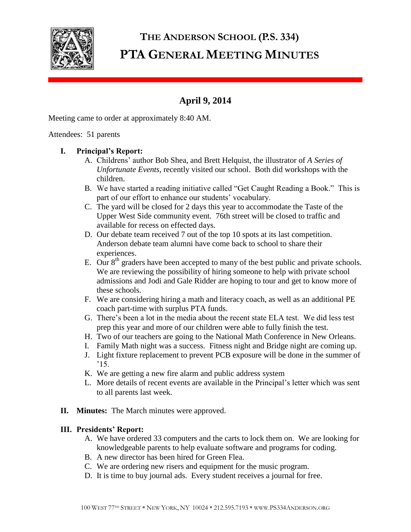

# **THE ANDERSON SCHOOL (P.S. 334) PTA GENERAL MEETING MINUTES**

# **April 9, 2014**

Meeting came to order at approximately 8:40 AM.

#### Attendees: 51 parents

# **I. Principal's Report:**

- A. Childrens' author Bob Shea, and Brett Helquist, the illustrator of *A Series of Unfortunate Events*, recently visited our school. Both did workshops with the children.
- B. We have started a reading initiative called "Get Caught Reading a Book." This is part of our effort to enhance our students' vocabulary.
- C. The yard will be closed for 2 days this year to accommodate the Taste of the Upper West Side community event. 76th street will be closed to traffic and available for recess on effected days.
- D. Our debate team received 7 out of the top 10 spots at its last competition. Anderson debate team alumni have come back to school to share their experiences.
- E. Our  $8<sup>th</sup>$  graders have been accepted to many of the best public and private schools. We are reviewing the possibility of hiring someone to help with private school admissions and Jodi and Gale Ridder are hoping to tour and get to know more of these schools.
- F. We are considering hiring a math and literacy coach, as well as an additional PE coach part-time with surplus PTA funds.
- G. There's been a lot in the media about the recent state ELA test. We did less test prep this year and more of our children were able to fully finish the test.
- H. Two of our teachers are going to the National Math Conference in New Orleans.
- I. Family Math night was a success. Fitness night and Bridge night are coming up.
- J. Light fixture replacement to prevent PCB exposure will be done in the summer of  $^{\prime}15$ .
- K. We are getting a new fire alarm and public address system
- L. More details of recent events are available in the Principal's letter which was sent to all parents last week.
- **II. Minutes:** The March minutes were approved.

# **III. Presidents' Report:**

- A. We have ordered 33 computers and the carts to lock them on. We are looking for knowledgeable parents to help evaluate software and programs for coding.
- B. A new director has been hired for Green Flea.
- C. We are ordering new risers and equipment for the music program.
- D. It is time to buy journal ads. Every student receives a journal for free.